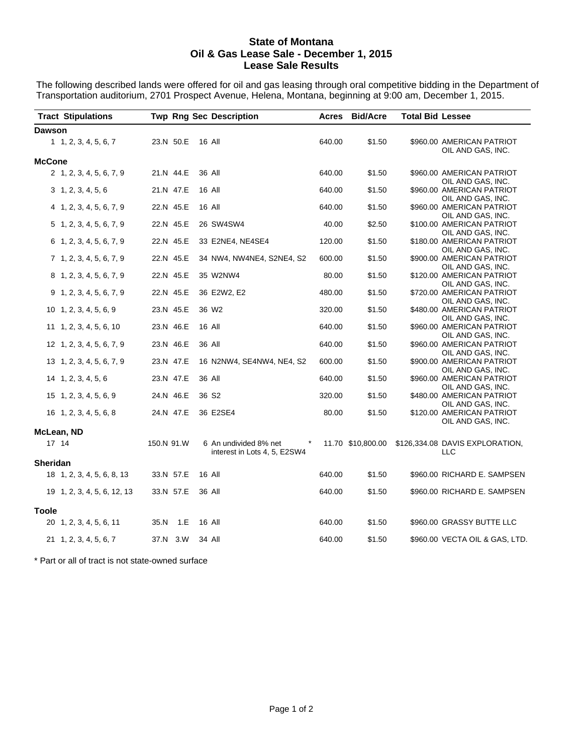#### **State of Montana Oil & Gas Lease Sale - December 1, 2015 Lease Sale Results**

The following described lands were offered for oil and gas leasing through oral competitive bidding in the Department of Transportation auditorium, 2701 Prospect Avenue, Helena, Montana, beginning at 9:00 am, December 1, 2015.

|               | <b>Tract Stipulations</b>   | <b>Twp Rng Sec Description</b> |                   |                                                                  |        | <b>Acres Bid/Acre</b> | <b>Total Bid Lessee</b> |                                                |
|---------------|-----------------------------|--------------------------------|-------------------|------------------------------------------------------------------|--------|-----------------------|-------------------------|------------------------------------------------|
| <b>Dawson</b> |                             |                                |                   |                                                                  |        |                       |                         |                                                |
|               | 1, 2, 3, 4, 5, 6, 7         | 23.N 50.E                      | 16 All            |                                                                  | 640.00 | \$1.50                |                         | \$960.00 AMERICAN PATRIOT<br>OIL AND GAS, INC. |
| <b>McCone</b> |                             |                                |                   |                                                                  |        |                       |                         |                                                |
|               | 2 1, 2, 3, 4, 5, 6, 7, 9    | 21.N 44.E                      | 36 All            |                                                                  | 640.00 | \$1.50                |                         | \$960.00 AMERICAN PATRIOT<br>OIL AND GAS, INC. |
|               | 3, 1, 2, 3, 4, 5, 6         | 21.N 47.E                      | 16 All            |                                                                  | 640.00 | \$1.50                |                         | \$960.00 AMERICAN PATRIOT<br>OIL AND GAS, INC. |
|               | 4 1, 2, 3, 4, 5, 6, 7, 9    | 22.N 45.E                      | 16 All            |                                                                  | 640.00 | \$1.50                |                         | \$960.00 AMERICAN PATRIOT<br>OIL AND GAS, INC. |
|               | 5 1, 2, 3, 4, 5, 6, 7, 9    | 22.N 45.E                      | 26 SW4SW4         |                                                                  | 40.00  | \$2.50                |                         | \$100.00 AMERICAN PATRIOT<br>OIL AND GAS, INC. |
|               | 6 1, 2, 3, 4, 5, 6, 7, 9    | 22.N 45.E                      |                   | 33 E2NE4, NE4SE4                                                 | 120.00 | \$1.50                |                         | \$180.00 AMERICAN PATRIOT<br>OIL AND GAS, INC. |
|               | 7 1, 2, 3, 4, 5, 6, 7, 9    | 22.N 45.E                      |                   | 34 NW4, NW4NE4, S2NE4, S2                                        | 600.00 | \$1.50                |                         | \$900.00 AMERICAN PATRIOT<br>OIL AND GAS, INC. |
|               | 8 1, 2, 3, 4, 5, 6, 7, 9    | 22.N 45.E                      | 35 W2NW4          |                                                                  | 80.00  | \$1.50                |                         | \$120.00 AMERICAN PATRIOT<br>OIL AND GAS, INC. |
|               | 9 1, 2, 3, 4, 5, 6, 7, 9    | 22.N 45.E                      | 36 E2W2, E2       |                                                                  | 480.00 | \$1.50                |                         | \$720.00 AMERICAN PATRIOT<br>OIL AND GAS, INC. |
|               | 10 1, 2, 3, 4, 5, 6, 9      | 23.N 45.E                      | 36 W <sub>2</sub> |                                                                  | 320.00 | \$1.50                |                         | \$480.00 AMERICAN PATRIOT<br>OIL AND GAS, INC. |
|               | 11 1, 2, 3, 4, 5, 6, 10     | 23.N 46.E                      | 16 All            |                                                                  | 640.00 | \$1.50                |                         | \$960.00 AMERICAN PATRIOT<br>OIL AND GAS, INC. |
|               | 12 1, 2, 3, 4, 5, 6, 7, 9   | 23.N 46.E                      | 36 All            |                                                                  | 640.00 | \$1.50                |                         | \$960.00 AMERICAN PATRIOT<br>OIL AND GAS, INC. |
|               | 13 1, 2, 3, 4, 5, 6, 7, 9   | 23.N 47.E                      |                   | 16 N2NW4, SE4NW4, NE4, S2                                        | 600.00 | \$1.50                |                         | \$900.00 AMERICAN PATRIOT<br>OIL AND GAS, INC. |
|               | 14 1, 2, 3, 4, 5, 6         | 23.N 47.E                      | 36 All            |                                                                  | 640.00 | \$1.50                |                         | \$960.00 AMERICAN PATRIOT<br>OIL AND GAS, INC. |
|               | 15 1, 2, 3, 4, 5, 6, 9      | 24.N 46.E                      | 36 S <sub>2</sub> |                                                                  | 320.00 | \$1.50                |                         | \$480.00 AMERICAN PATRIOT<br>OIL AND GAS, INC. |
|               | 16 1, 2, 3, 4, 5, 6, 8      | 24.N 47.E                      | 36 E2SE4          |                                                                  | 80.00  | \$1.50                |                         | \$120.00 AMERICAN PATRIOT<br>OIL AND GAS, INC. |
|               | McLean, ND                  |                                |                   |                                                                  |        |                       |                         |                                                |
| 17 14         |                             | 150.N 91.W                     |                   | 6 An undivided 8% net<br>$\star$<br>interest in Lots 4, 5, E2SW4 |        | 11.70 \$10,800.00     |                         | \$126,334.08 DAVIS EXPLORATION,<br>LLC         |
| Sheridan      |                             |                                |                   |                                                                  |        |                       |                         |                                                |
|               | 18 1, 2, 3, 4, 5, 6, 8, 13  | 33.N 57.E                      | 16 All            |                                                                  | 640.00 | \$1.50                |                         | \$960.00 RICHARD E. SAMPSEN                    |
|               | 19 1, 2, 3, 4, 5, 6, 12, 13 | 33.N 57.E                      | 36 All            |                                                                  | 640.00 | \$1.50                |                         | \$960.00 RICHARD E. SAMPSEN                    |
| Toole         |                             |                                |                   |                                                                  |        |                       |                         |                                                |
|               | 20 1, 2, 3, 4, 5, 6, 11     | 35.N 1.E                       | 16 All            |                                                                  | 640.00 | \$1.50                |                         | \$960.00 GRASSY BUTTE LLC                      |
|               | 21 1, 2, 3, 4, 5, 6, 7      | 37.N 3.W                       | 34 All            |                                                                  | 640.00 | \$1.50                |                         | \$960.00 VECTA OIL & GAS, LTD.                 |

\* Part or all of tract is not state-owned surface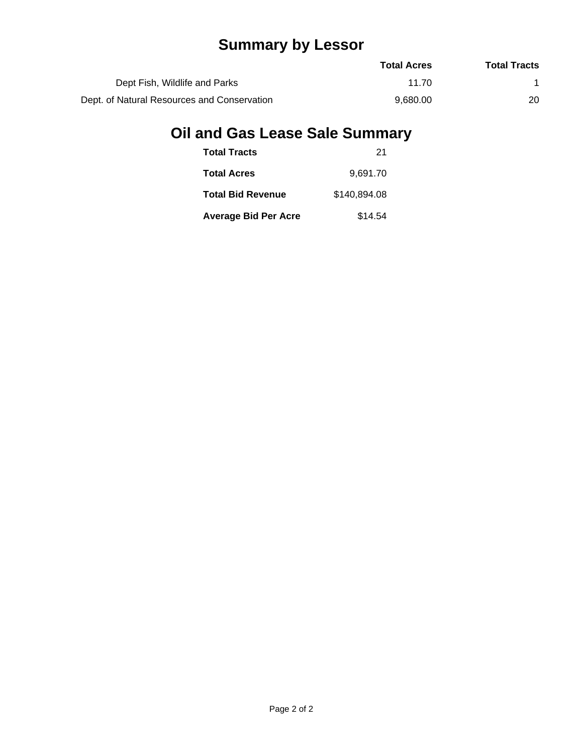## **Summary by Lessor**

|                                             | <b>Total Acres</b> | <b>Total Tracts</b> |
|---------------------------------------------|--------------------|---------------------|
| Dept Fish, Wildlife and Parks               | 11 70              |                     |
| Dept. of Natural Resources and Conservation | 9.680.00           | 20                  |

# **Oil and Gas Lease Sale Summary**

| <b>Total Tracts</b>         | 21           |
|-----------------------------|--------------|
| <b>Total Acres</b>          | 9.691.70     |
| <b>Total Bid Revenue</b>    | \$140,894.08 |
| <b>Average Bid Per Acre</b> | \$14.54      |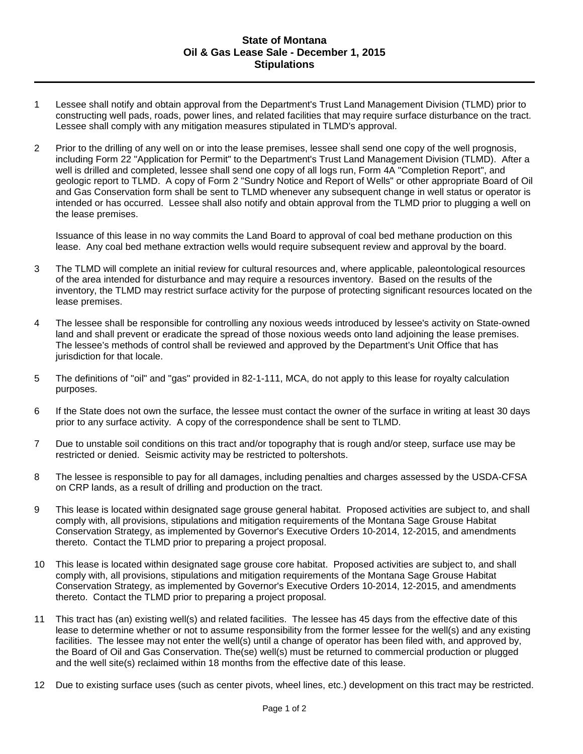#### **State of Montana Oil & Gas Lease Sale - December 1, 2015 Stipulations**

- 1 Lessee shall notify and obtain approval from the Department's Trust Land Management Division (TLMD) prior to constructing well pads, roads, power lines, and related facilities that may require surface disturbance on the tract. Lessee shall comply with any mitigation measures stipulated in TLMD's approval.
- 2 Prior to the drilling of any well on or into the lease premises, lessee shall send one copy of the well prognosis, including Form 22 "Application for Permit" to the Department's Trust Land Management Division (TLMD). After a well is drilled and completed, lessee shall send one copy of all logs run, Form 4A "Completion Report", and geologic report to TLMD. A copy of Form 2 "Sundry Notice and Report of Wells" or other appropriate Board of Oil and Gas Conservation form shall be sent to TLMD whenever any subsequent change in well status or operator is intended or has occurred. Lessee shall also notify and obtain approval from the TLMD prior to plugging a well on the lease premises.

Issuance of this lease in no way commits the Land Board to approval of coal bed methane production on this lease. Any coal bed methane extraction wells would require subsequent review and approval by the board.

- 3 The TLMD will complete an initial review for cultural resources and, where applicable, paleontological resources of the area intended for disturbance and may require a resources inventory. Based on the results of the inventory, the TLMD may restrict surface activity for the purpose of protecting significant resources located on the lease premises.
- 4 The lessee shall be responsible for controlling any noxious weeds introduced by lessee's activity on State-owned land and shall prevent or eradicate the spread of those noxious weeds onto land adjoining the lease premises. The lessee's methods of control shall be reviewed and approved by the Department's Unit Office that has jurisdiction for that locale.
- 5 The definitions of "oil" and "gas" provided in 82-1-111, MCA, do not apply to this lease for royalty calculation purposes.
- 6 If the State does not own the surface, the lessee must contact the owner of the surface in writing at least 30 days prior to any surface activity. A copy of the correspondence shall be sent to TLMD.
- 7 Due to unstable soil conditions on this tract and/or topography that is rough and/or steep, surface use may be restricted or denied. Seismic activity may be restricted to poltershots.
- 8 The lessee is responsible to pay for all damages, including penalties and charges assessed by the USDA-CFSA on CRP lands, as a result of drilling and production on the tract.
- 9 This lease is located within designated sage grouse general habitat. Proposed activities are subject to, and shall comply with, all provisions, stipulations and mitigation requirements of the Montana Sage Grouse Habitat Conservation Strategy, as implemented by Governor's Executive Orders 10-2014, 12-2015, and amendments thereto. Contact the TLMD prior to preparing a project proposal.
- 10 This lease is located within designated sage grouse core habitat. Proposed activities are subject to, and shall comply with, all provisions, stipulations and mitigation requirements of the Montana Sage Grouse Habitat Conservation Strategy, as implemented by Governor's Executive Orders 10-2014, 12-2015, and amendments thereto. Contact the TLMD prior to preparing a project proposal.
- 11 This tract has (an) existing well(s) and related facilities. The lessee has 45 days from the effective date of this lease to determine whether or not to assume responsibility from the former lessee for the well(s) and any existing facilities. The lessee may not enter the well(s) until a change of operator has been filed with, and approved by, the Board of Oil and Gas Conservation. The(se) well(s) must be returned to commercial production or plugged and the well site(s) reclaimed within 18 months from the effective date of this lease.
- 12 Due to existing surface uses (such as center pivots, wheel lines, etc.) development on this tract may be restricted.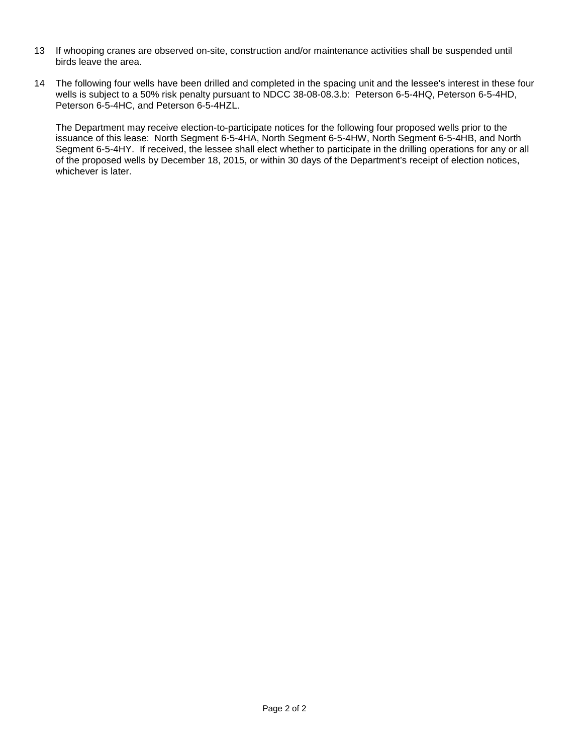- 13 If whooping cranes are observed on-site, construction and/or maintenance activities shall be suspended until birds leave the area.
- 14 The following four wells have been drilled and completed in the spacing unit and the lessee's interest in these four wells is subject to a 50% risk penalty pursuant to NDCC 38-08-08.3.b: Peterson 6-5-4HQ, Peterson 6-5-4HD, Peterson 6-5-4HC, and Peterson 6-5-4HZL.

The Department may receive election-to-participate notices for the following four proposed wells prior to the issuance of this lease: North Segment 6-5-4HA, North Segment 6-5-4HW, North Segment 6-5-4HB, and North Segment 6-5-4HY. If received, the lessee shall elect whether to participate in the drilling operations for any or all of the proposed wells by December 18, 2015, or within 30 days of the Department's receipt of election notices, whichever is later.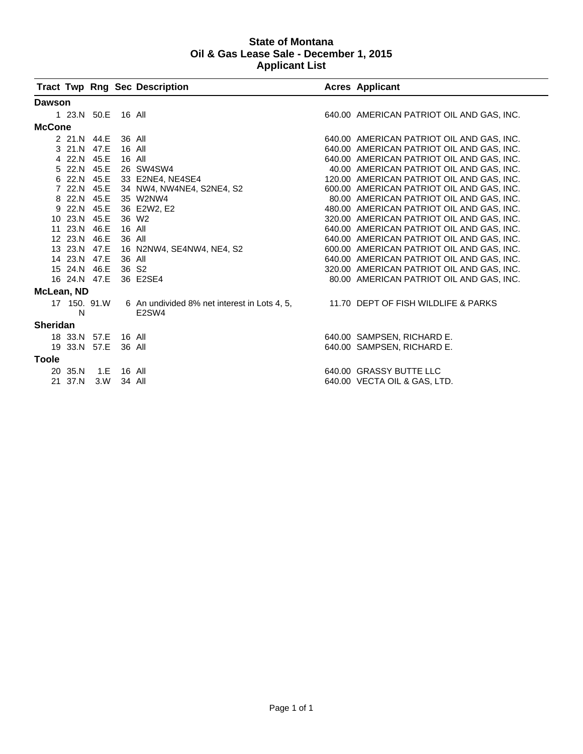#### **State of Montana Oil & Gas Lease Sale - December 1, 2015 Applicant List**

|                 |                    |     |        | <b>Tract Twp Rng Sec Description</b>         |  | <b>Acres Applicant</b>                    |  |  |
|-----------------|--------------------|-----|--------|----------------------------------------------|--|-------------------------------------------|--|--|
| <b>Dawson</b>   |                    |     |        |                                              |  |                                           |  |  |
|                 | 1 23.N 50.E 16 All |     |        |                                              |  | 640.00 AMERICAN PATRIOT OIL AND GAS, INC. |  |  |
| <b>McCone</b>   |                    |     |        |                                              |  |                                           |  |  |
|                 | 2 21.N 44.E        |     | 36 All |                                              |  | 640.00 AMERICAN PATRIOT OIL AND GAS, INC. |  |  |
|                 | 3 21.N 47.E        |     | 16 All |                                              |  | 640.00 AMERICAN PATRIOT OIL AND GAS, INC. |  |  |
|                 | 4 22.N 45.E        |     | 16 All |                                              |  | 640.00 AMERICAN PATRIOT OIL AND GAS, INC. |  |  |
|                 | 5 22.N 45.E        |     |        | 26 SW4SW4                                    |  | 40.00 AMERICAN PATRIOT OIL AND GAS, INC.  |  |  |
|                 |                    |     |        | 6 22.N 45.E 33 E2NE4, NE4SE4                 |  | 120.00 AMERICAN PATRIOT OIL AND GAS, INC. |  |  |
|                 |                    |     |        | 7 22.N 45.E 34 NW4, NW4NE4, S2NE4, S2        |  | 600.00 AMERICAN PATRIOT OIL AND GAS, INC. |  |  |
|                 | 8 22.N 45.E        |     |        | 35 W2NW4                                     |  | 80.00 AMERICAN PATRIOT OIL AND GAS, INC.  |  |  |
|                 | 9 22.N 45.E        |     |        | 36 E2W2, E2                                  |  | 480.00 AMERICAN PATRIOT OIL AND GAS, INC. |  |  |
|                 | 10 23.N 45.E       |     |        | 36 W <sub>2</sub>                            |  | 320.00 AMERICAN PATRIOT OIL AND GAS, INC. |  |  |
|                 | 11 23.N 46.E       |     | 16 All |                                              |  | 640.00 AMERICAN PATRIOT OIL AND GAS, INC. |  |  |
|                 | 12 23.N 46.E       |     | 36 All |                                              |  | 640.00 AMERICAN PATRIOT OIL AND GAS, INC. |  |  |
|                 | 13 23.N 47.E       |     |        | 16 N2NW4, SE4NW4, NE4, S2                    |  | 600.00 AMERICAN PATRIOT OIL AND GAS, INC. |  |  |
|                 | 14 23.N 47.E       |     | 36 All |                                              |  | 640.00 AMERICAN PATRIOT OIL AND GAS, INC. |  |  |
|                 | 15 24.N 46.E       |     | 36 S2  |                                              |  | 320.00 AMERICAN PATRIOT OIL AND GAS, INC. |  |  |
|                 | 16 24.N 47.E       |     |        | 36 E2SE4                                     |  | 80.00 AMERICAN PATRIOT OIL AND GAS, INC.  |  |  |
| McLean, ND      |                    |     |        |                                              |  |                                           |  |  |
|                 | 17 150, 91.W       |     |        | 6 An undivided 8% net interest in Lots 4, 5, |  | 11.70 DEPT OF FISH WILDLIFE & PARKS       |  |  |
|                 | N                  |     |        | E2SW4                                        |  |                                           |  |  |
| <b>Sheridan</b> |                    |     |        |                                              |  |                                           |  |  |
|                 | 18 33.N 57.E       |     | 16 All |                                              |  | 640.00 SAMPSEN, RICHARD E.                |  |  |
|                 | 19 33.N 57.E       |     | 36 All |                                              |  | 640.00 SAMPSEN, RICHARD E.                |  |  |
| <b>Toole</b>    |                    |     |        |                                              |  |                                           |  |  |
|                 | 20 35.N            | 1.E | 16 All |                                              |  | 640.00 GRASSY BUTTE LLC                   |  |  |
|                 | 21 37.N            | 3.W | 34 All |                                              |  | 640.00 VECTA OIL & GAS, LTD.              |  |  |
|                 |                    |     |        |                                              |  |                                           |  |  |